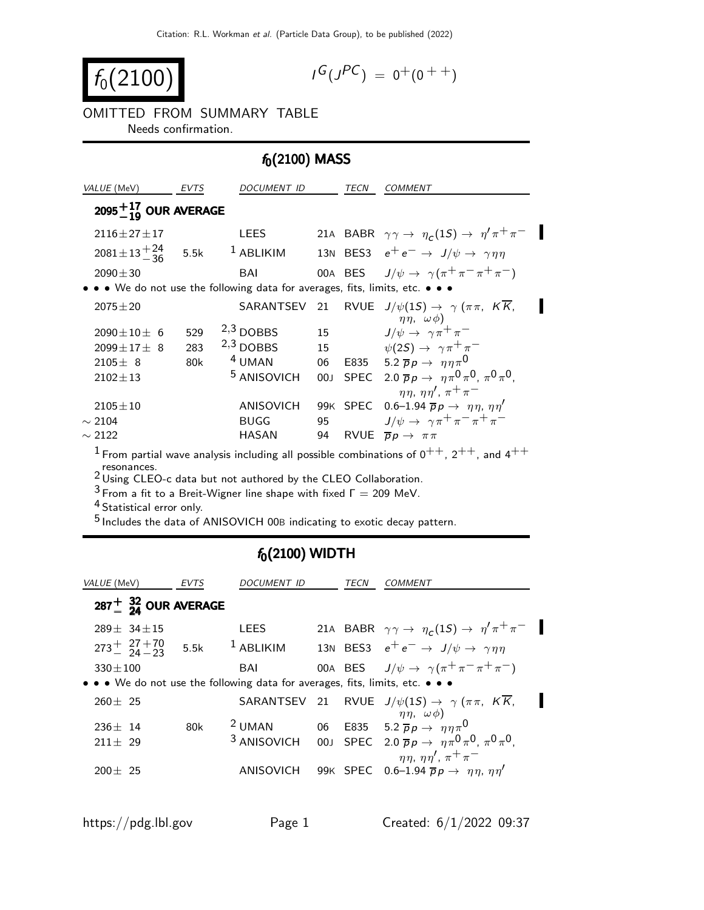$$
f_0(2100)
$$

$$
I^G(J^{PC}) = 0^+(0^{++})
$$

OMITTED FROM SUMMARY TABLE Needs confirmation.

## $f_0(2100)$  MASS

| <i>VALUE</i> (MeV)                                                                                   | <b>EVTS</b> | DOCUMENT ID                                                                   |                 | TECN | <i>COMMENT</i>                                                                                 |
|------------------------------------------------------------------------------------------------------|-------------|-------------------------------------------------------------------------------|-----------------|------|------------------------------------------------------------------------------------------------|
| $2095^{+17}_{-10}$ OUR AVERAGE                                                                       |             |                                                                               |                 |      |                                                                                                |
| $2116 \pm 27 \pm 17$                                                                                 |             | <b>LEES</b>                                                                   |                 |      | 21A BABR $\gamma \gamma \rightarrow \eta_c(1S) \rightarrow \eta' \pi^+ \pi^-$                  |
| $2081 \pm 13 \frac{+24}{-36}$ 5.5k                                                                   |             | $1$ ABLIKIM                                                                   |                 |      | 13N BES3 $e^+e^- \rightarrow J/\psi \rightarrow \gamma \eta \eta$                              |
| $2090 \pm 30$                                                                                        |             | BAI                                                                           |                 |      | 00A BES $J/\psi \rightarrow \gamma(\pi^+\pi^-\pi^+\pi^-)$                                      |
|                                                                                                      |             | • • • We do not use the following data for averages, fits, limits, etc. • • • |                 |      |                                                                                                |
| $2075 \pm 20$                                                                                        |             |                                                                               |                 |      | SARANTSEV 21 RVUE $J/\psi(1S) \rightarrow \gamma (\pi \pi, KK,$<br>$\eta\eta$ , $\omega\phi$ ) |
| $2090 \pm 10 \pm 6$                                                                                  | 529         | $2,3$ DOBBS                                                                   | 15              |      | $J/\psi \rightarrow \gamma \pi^+ \pi^-$                                                        |
| $2099 \pm 17 \pm 8$                                                                                  | 283         | $2,3$ DOBBS                                                                   | 15              |      | $\psi(2S) \rightarrow \gamma \pi^+ \pi^-$                                                      |
| $2105 \pm 8$                                                                                         | 80k         | <sup>4</sup> UMAN                                                             | 06              |      | E835 5.2 $\overline{p}p \rightarrow \eta \eta \pi^0$                                           |
| $2102 \pm 13$                                                                                        |             | <sup>5</sup> ANISOVICH                                                        | 00 <sub>J</sub> |      | SPEC 2.0 $\overline{p}p \rightarrow \eta \pi^0 \pi^0$ , $\pi^0 \pi^0$ .                        |
|                                                                                                      |             |                                                                               |                 |      | $\eta\eta$ , $\eta\eta'$ , $\pi^+\pi^-$                                                        |
| $2105 \pm 10$                                                                                        |             | <b>ANISOVICH</b>                                                              |                 |      | 99K SPEC 0.6-1.94 $\overline{p}p \rightarrow \eta \eta, \eta \eta'$                            |
| $\sim$ 2104                                                                                          |             | <b>BUGG</b>                                                                   | 95              |      | $J/\psi \rightarrow \gamma \pi^+ \pi^- \pi^+ \pi^-$                                            |
| $\sim$ 2122                                                                                          |             | <b>HASAN</b>                                                                  | 94              |      | RVUE $\overline{p}p \rightarrow \pi \pi$                                                       |
| $1$ Erom partial wave applyeis including all possible combinations of $0^{++}$ $2^{++}$ and $4^{++}$ |             |                                                                               |                 |      |                                                                                                |

From partial wave analysis including all possible combinations of  $0^{++}$ ,  $2^{++}$ , and 4 resonances. 2 Using CLEO-c data but not authored by the CLEO Collaboration.

 $^3$  From a fit to a Breit-Wigner line shape with fixed  $\Gamma =$  209 MeV.

<sup>4</sup> Statistical error only.

5 Includes the data of ANISOVICH 00<sup>B</sup> indicating to exotic decay pattern.

## $f_0(2100)$  WIDTH

| <i>VALUE</i> (MeV)                                                            | EVTS | <i>DOCUMENT ID</i> | TECN | <i>COMMENT</i>                                                                                                 |  |
|-------------------------------------------------------------------------------|------|--------------------|------|----------------------------------------------------------------------------------------------------------------|--|
| $287 + \frac{32}{24}$ OUR AVERAGE                                             |      |                    |      |                                                                                                                |  |
| $289 + 34 + 15$                                                               |      | LEES               |      | 21A BABR $\gamma \gamma \rightarrow \eta_c(1S) \rightarrow \eta' \pi^+ \pi^-$                                  |  |
| $273^{+}_{-}$ $27^{+70}_{-}$ 5.5k <sup>1</sup> ABLIKIM                        |      |                    |      | 13N BES3 $e^+e^- \rightarrow J/\psi \rightarrow \gamma \eta \eta$                                              |  |
| $330 \pm 100$                                                                 |      | BAI                |      | 00A BES $J/\psi \rightarrow \gamma(\pi^+\pi^-\pi^+\pi^-)$                                                      |  |
| • • • We do not use the following data for averages, fits, limits, etc. • • • |      |                    |      |                                                                                                                |  |
| $260 \pm 25$                                                                  |      |                    |      | SARANTSEV 21 RVUE $J/\psi(1S) \rightarrow \gamma (\pi \pi, KK,$<br>$\eta\eta$ , $\omega\phi$ )                 |  |
| $236 + 14$                                                                    | 80k  | $2$ UMAN           |      | 06 E835 5.2 $\bar{p}p \to \eta \eta \pi^0$                                                                     |  |
| $211 + 29$                                                                    |      |                    |      | <sup>3</sup> ANISOVICH 00J SPEC 2.0 $\overline{p}p \rightarrow \eta \pi^0 \pi^0$ , $\pi^0 \pi^0$ ,             |  |
| $200 + 25$                                                                    |      | ANISOVICH          |      | $\eta\eta$ , $\eta\eta'$ , $\pi^+\pi^-$<br>99K SPEC 0.6-1.94 $\overline{p}p \rightarrow \eta \eta, \eta \eta'$ |  |